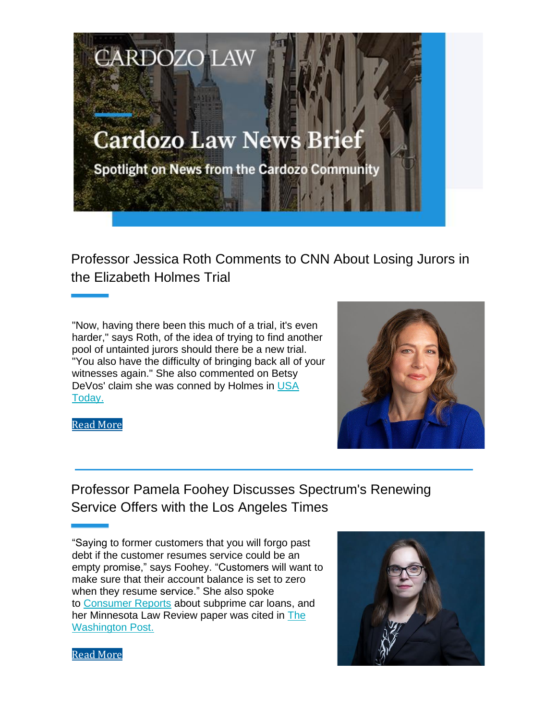

Professor Jessica Roth Comments to CNN About Losing Jurors in the Elizabeth Holmes Trial

"Now, having there been this much of a trial, it's even harder," says Roth, of the idea of trying to find another pool of untainted jurors should there be a new trial. "You also have the difficulty of bringing back all of your witnesses again." She also commented on Betsy DeVos' claim she was conned by Holmes in USA Today.



Read More

Professor Pamela Foohey Discusses Spectrum's Renewing Service Offers with the Los Angeles Times

"Saying to former customers that you will forgo past debt if the customer resumes service could be an empty promise," says Foohey. "Customers will want to make sure that their account balance is set to zero when they resume service." She also spoke to Consumer Reports about subprime car loans, and her Minnesota Law Review paper was cited in The Washington Post.



Read More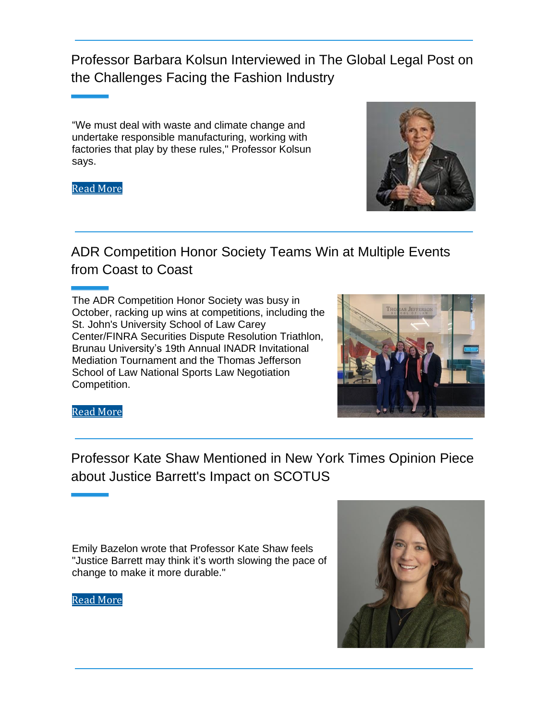Professor Barbara Kolsun Interviewed in The Global Legal Post on the Challenges Facing the Fashion Industry

"We must deal with waste and climate change and undertake responsible manufacturing, working with factories that play by these rules," Professor Kolsun says.

Read More

# ADR Competition Honor Society Teams Win at Multiple Events from Coast to Coast

The ADR Competition Honor Society was busy in October, racking up wins at competitions, including the St. John's University School of Law Carey Center/FINRA Securities Dispute Resolution Triathlon, Brunau University's 19th Annual INADR Invitational Mediation Tournament and the Thomas Jefferson School of Law National Sports Law Negotiation Competition.

Professor Kate Shaw Mentioned in New York Times Opinion Piece about Justice Barrett's Impact on SCOTUS

Emily Bazelon wrote that Professor Kate Shaw feels "Justice Barrett may think it's worth slowing the pace of change to make it more durable."

Read More

Read More





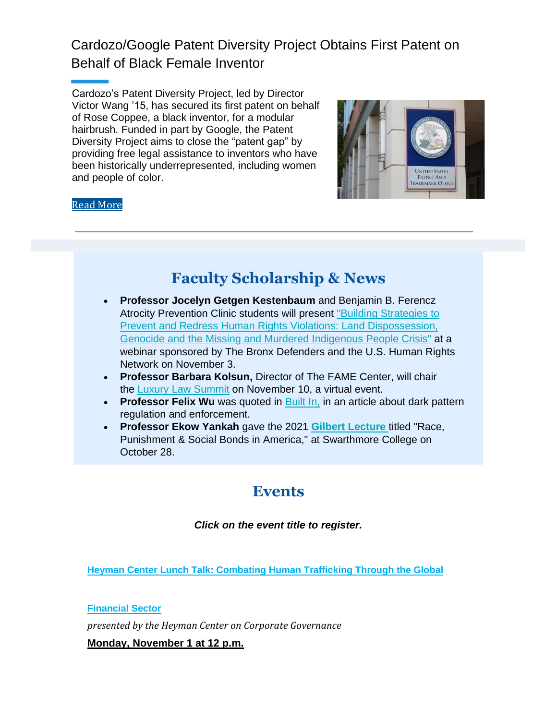Cardozo/Google Patent Diversity Project Obtains First Patent on Behalf of Black Female Inventor

Cardozo's Patent Diversity Project, led by Director Victor Wang '15, has secured its first patent on behalf of Rose Coppee, a black inventor, for a modular hairbrush. Funded in part by Google, the Patent Diversity Project aims to close the "patent gap" by providing free legal assistance to inventors who have been historically underrepresented, including women and people of color.



### Read More

## **Faculty Scholarship & News**

- **Professor Jocelyn Getgen Kestenbaum** and Benjamin B. Ferencz Atrocity Prevention Clinic students will present "Building Strategies to Prevent and Redress Human Rights Violations: Land Dispossession, Genocide and the Missing and Murdered Indigenous People Crisis" at a webinar sponsored by The Bronx Defenders and the U.S. Human Rights Network on November 3.
- **Professor Barbara Kolsun,** Director of The FAME Center, will chair the Luxury Law Summit on November 10, a virtual event.
- **Professor Felix Wu** was quoted in Built In, in an article about dark pattern regulation and enforcement.
- **Professor Ekow Yankah** gave the 2021 **Gilbert Lecture** titled "Race, Punishment & Social Bonds in America," at Swarthmore College on October 28.

### **Events**

### *Click on the event title to register.*

**Heyman Center Lunch Talk: Combating Human Trafficking Through the Global**

**Financial Sector**

*presented by the Heyman Center on Corporate Governance*

**Monday, November 1 at 12 p.m.**